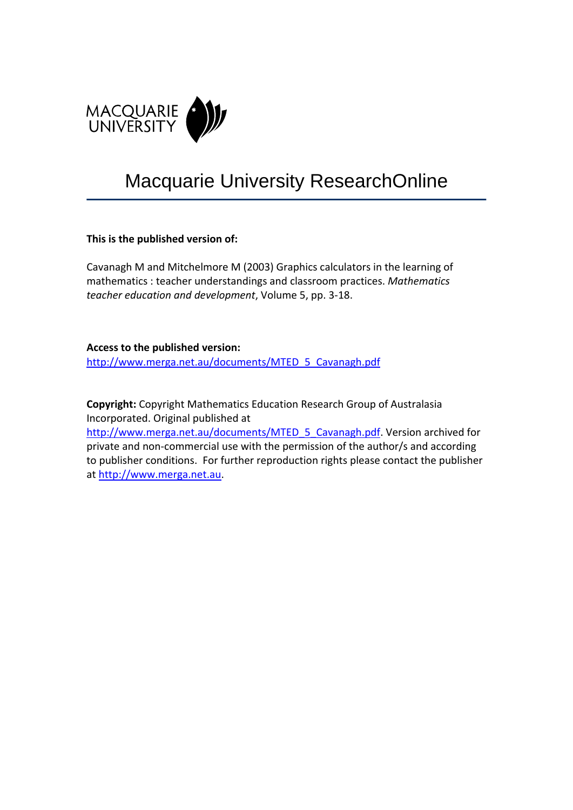

# Macquarie University ResearchOnline

# **This is the published version of:**

Cavanagh M and Mitchelmore M (2003) Graphics calculators in the learning of mathematics : teacher understandings and classroom practices. *Mathematics teacher education and development*, Volume 5, pp. 3‐18.

**Access to the published version:**

[http://www.merga.net.au/documents/MTED\\_5\\_Cavanagh.pdf](http://www.merga.net.au/documents/MTED_5_Cavanagh.pdf)

**Copyright:** Copyright Mathematics Education Research Group of Australasia Incorporated. Original published at

[http://www.merga.net.au/documents/MTED\\_5\\_Cavanagh.pdf](http://www.merga.net.au/documents/MTED_5_Cavanagh.pdf). Version archived for private and non‐commercial use with the permission of the author/s and according to publisher conditions. For further reproduction rights please contact the publisher at [http://www.merga.net.au.](http://www.merga.net.au/)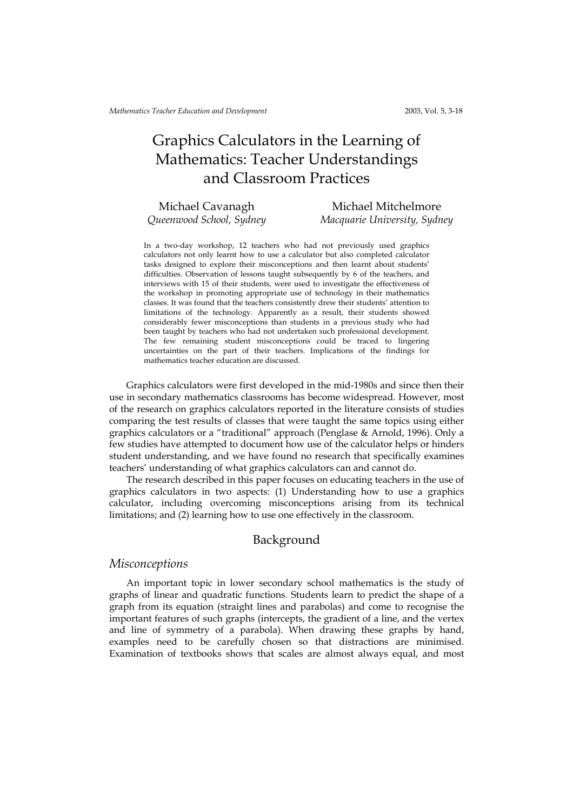# Graphics Calculators in the Learning of Mathematics: Teacher Understandings and Classroom Practices

### Michael Cavanagh

Queenwood School, Sydney

# Michael Mitchelmore Macquarie University, Sydney

In a two-day workshop, 12 teachers who had not previously used graphics calculators not only learnt how to use a calculator but also completed calculator tasks designed to explore their misconceptions and then learnt about students' difficulties. Observation of lessons taught subsequently by 6 of the teachers, and interviews with 15 of their students, were used to investigate the effectiveness of the workshop in promoting appropriate use of technology in their mathematics classes. It was found that the teachers consistently drew their students' attention to limitations of the technology. Apparently as a result, their students showed considerably fewer misconceptions than students in a previous study who had been taught by teachers who had not undertaken such professional development. The few remaining student misconceptions could be traced to lingering uncertainties on the part of their teachers. Implications of the findings for mathematics teacher education are discussed.

Graphics calculators were first developed in the mid-1980s and since then their use in secondary mathematics classrooms has become widespread. However, most of the research on graphics calculators reported in the literature consists of studies comparing the test results of classes that were taught the same topics using either graphics calculators or a "traditional" approach (Penglase & Arnold, 1996). Only a few studies have attempted to document how use of the calculator helps or hinders student understanding, and we have found no research that specifically examines teachers' understanding of what graphics calculators can and cannot do.

The research described in this paper focuses on educating teachers in the use of graphics calculators in two aspects: (1) Understanding how to use a graphics calculator, including overcoming misconceptions arising from its technical limitations; and (2) learning how to use one effectively in the classroom.

#### Background

#### Misconceptions

An important topic in lower secondary school mathematics is the study of graphs of linear and quadratic functions. Students learn to predict the shape of a graph from its equation (straight lines and parabolas) and come to recognise the important features of such graphs (intercepts, the gradient of a line, and the vertex and line of symmetry of a parabola). When drawing these graphs by hand, examples need to be carefully chosen so that distractions are minimised. Examination of textbooks shows that scales are almost always equal, and most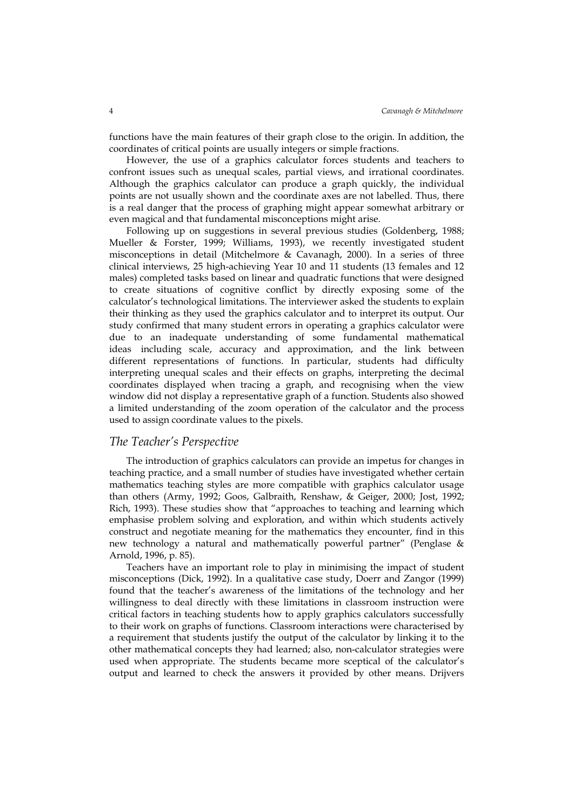functions have the main features of their graph close to the origin. In addition, the coordinates of critical points are usually integers or simple fractions.

However, the use of a graphics calculator forces students and teachers to confront issues such as unequal scales, partial views, and irrational coordinates. Although the graphics calculator can produce a graph quickly, the individual points are not usually shown and the coordinate axes are not labelled. Thus, there is a real danger that the process of graphing might appear somewhat arbitrary or even magical and that fundamental misconceptions might arise.

Following up on suggestions in several previous studies (Goldenberg, 1988; Mueller & Forster, 1999; Williams, 1993), we recently investigated student misconceptions in detail (Mitchelmore & Cavanagh, 2000). In a series of three clinical interviews, 25 high-achieving Year 10 and 11 students (13 females and 12 males) completed tasks based on linear and quadratic functions that were designed to create situations of cognitive conflict by directly exposing some of the calculator's technological limitations. The interviewer asked the students to explain their thinking as they used the graphics calculator and to interpret its output. Our study confirmed that many student errors in operating a graphics calculator were due to an inadequate understanding of some fundamental mathematical ideas—including scale, accuracy and approximation, and the link between different representations of functions. In particular, students had difficulty interpreting unequal scales and their effects on graphs, interpreting the decimal coordinates displayed when tracing a graph, and recognising when the view window did not display a representative graph of a function. Students also showed a limited understanding of the zoom operation of the calculator and the process used to assign coordinate values to the pixels.

#### The Teacher's Perspective

The introduction of graphics calculators can provide an impetus for changes in teaching practice, and a small number of studies have investigated whether certain mathematics teaching styles are more compatible with graphics calculator usage than others (Army, 1992; Goos, Galbraith, Renshaw, & Geiger, 2000; Jost, 1992; Rich, 1993). These studies show that "approaches to teaching and learning which emphasise problem solving and exploration, and within which students actively construct and negotiate meaning for the mathematics they encounter, find in this new technology a natural and mathematically powerful partner" (Penglase & Arnold, 1996, p. 85).

Teachers have an important role to play in minimising the impact of student misconceptions (Dick, 1992). In a qualitative case study, Doerr and Zangor (1999) found that the teacher's awareness of the limitations of the technology and her willingness to deal directly with these limitations in classroom instruction were critical factors in teaching students how to apply graphics calculators successfully to their work on graphs of functions. Classroom interactions were characterised by a requirement that students justify the output of the calculator by linking it to the other mathematical concepts they had learned; also, non-calculator strategies were used when appropriate. The students became more sceptical of the calculator's output and learned to check the answers it provided by other means. Drijvers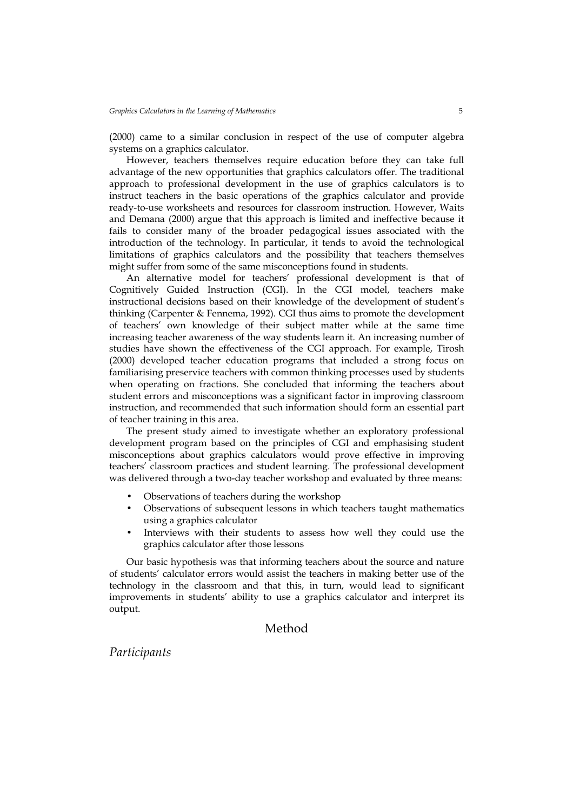(2000) came to a similar conclusion in respect of the use of computer algebra systems on a graphics calculator.

However, teachers themselves require education before they can take full advantage of the new opportunities that graphics calculators offer. The traditional approach to professional development in the use of graphics calculators is to instruct teachers in the basic operations of the graphics calculator and provide ready-to-use worksheets and resources for classroom instruction. However, Waits and Demana (2000) argue that this approach is limited and ineffective because it fails to consider many of the broader pedagogical issues associated with the introduction of the technology. In particular, it tends to avoid the technological limitations of graphics calculators and the possibility that teachers themselves might suffer from some of the same misconceptions found in students.

An alternative model for teachers' professional development is that of Cognitively Guided Instruction (CGI). In the CGI model, teachers make instructional decisions based on their knowledge of the development of student's thinking (Carpenter & Fennema, 1992). CGI thus aims to promote the development of teachers' own knowledge of their subject matter while at the same time increasing teacher awareness of the way students learn it. An increasing number of studies have shown the effectiveness of the CGI approach. For example, Tirosh (2000) developed teacher education programs that included a strong focus on familiarising preservice teachers with common thinking processes used by students when operating on fractions. She concluded that informing the teachers about student errors and misconceptions was a significant factor in improving classroom instruction, and recommended that such information should form an essential part of teacher training in this area.

The present study aimed to investigate whether an exploratory professional development program based on the principles of CGI and emphasising student misconceptions about graphics calculators would prove effective in improving teachers' classroom practices and student learning. The professional development was delivered through a two-day teacher workshop and evaluated by three means:

- Observations of teachers during the workshop
- Observations of subsequent lessons in which teachers taught mathematics using a graphics calculator
- Interviews with their students to assess how well they could use the graphics calculator after those lessons

Our basic hypothesis was that informing teachers about the source and nature of students' calculator errors would assist the teachers in making better use of the technology in the classroom and that this, in turn, would lead to significant improvements in students' ability to use a graphics calculator and interpret its output.

## Method

Participants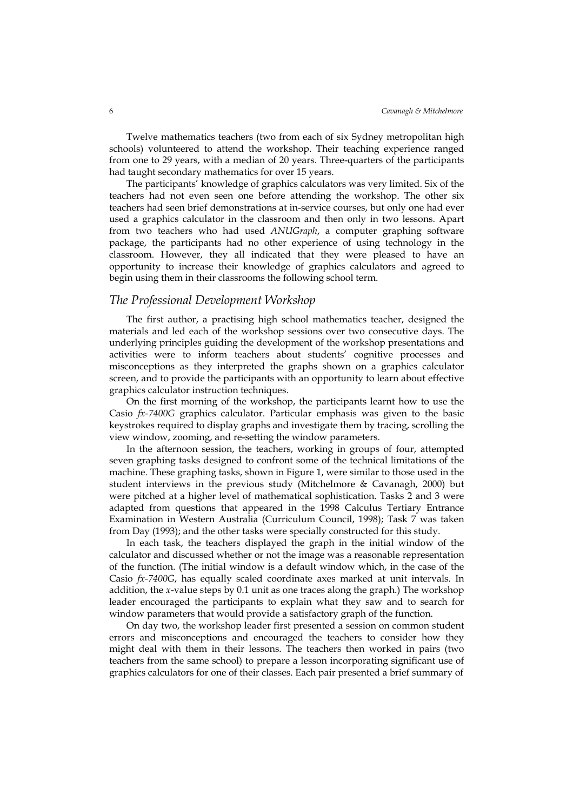Twelve mathematics teachers (two from each of six Sydney metropolitan high schools) volunteered to attend the workshop. Their teaching experience ranged from one to 29 years, with a median of 20 years. Three-quarters of the participants had taught secondary mathematics for over 15 years.

The participants' knowledge of graphics calculators was very limited. Six of the teachers had not even seen one before attending the workshop. The other six teachers had seen brief demonstrations at in-service courses, but only one had ever used a graphics calculator in the classroom and then only in two lessons. Apart from two teachers who had used ANUGraph, a computer graphing software package, the participants had no other experience of using technology in the classroom. However, they all indicated that they were pleased to have an opportunity to increase their knowledge of graphics calculators and agreed to begin using them in their classrooms the following school term.

#### The Professional Development Workshop

The first author, a practising high school mathematics teacher, designed the materials and led each of the workshop sessions over two consecutive days. The underlying principles guiding the development of the workshop presentations and activities were to inform teachers about students' cognitive processes and misconceptions as they interpreted the graphs shown on a graphics calculator screen, and to provide the participants with an opportunity to learn about effective graphics calculator instruction techniques.

On the first morning of the workshop, the participants learnt how to use the Casio fx-7400G graphics calculator. Particular emphasis was given to the basic keystrokes required to display graphs and investigate them by tracing, scrolling the view window, zooming, and re-setting the window parameters.

In the afternoon session, the teachers, working in groups of four, attempted seven graphing tasks designed to confront some of the technical limitations of the machine. These graphing tasks, shown in Figure 1, were similar to those used in the student interviews in the previous study (Mitchelmore & Cavanagh, 2000) but were pitched at a higher level of mathematical sophistication. Tasks 2 and 3 were adapted from questions that appeared in the 1998 Calculus Tertiary Entrance Examination in Western Australia (Curriculum Council, 1998); Task 7 was taken from Day (1993); and the other tasks were specially constructed for this study.

In each task, the teachers displayed the graph in the initial window of the calculator and discussed whether or not the image was a reasonable representation of the function. (The initial window is a default window which, in the case of the Casio fx-7400G, has equally scaled coordinate axes marked at unit intervals. In addition, the x-value steps by 0.1 unit as one traces along the graph.) The workshop leader encouraged the participants to explain what they saw and to search for window parameters that would provide a satisfactory graph of the function.

On day two, the workshop leader first presented a session on common student errors and misconceptions and encouraged the teachers to consider how they might deal with them in their lessons. The teachers then worked in pairs (two teachers from the same school) to prepare a lesson incorporating significant use of graphics calculators for one of their classes. Each pair presented a brief summary of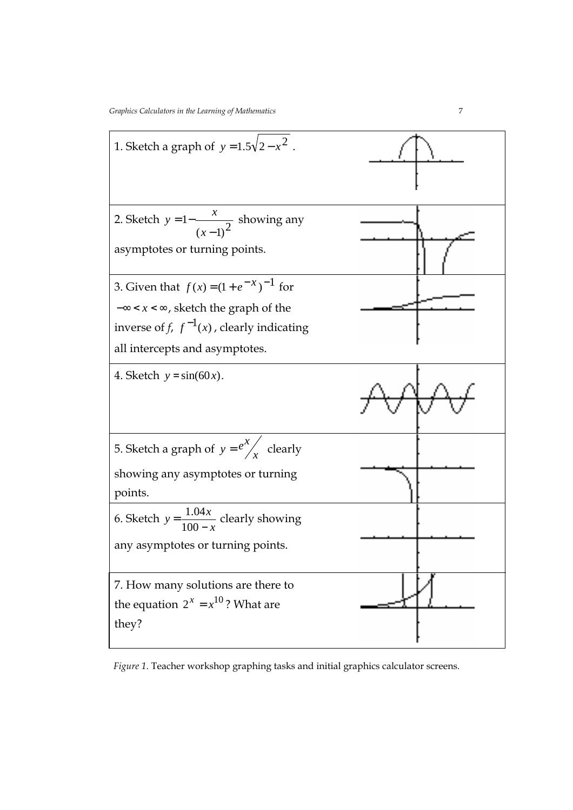

Figure 1. Teacher workshop graphing tasks and initial graphics calculator screens.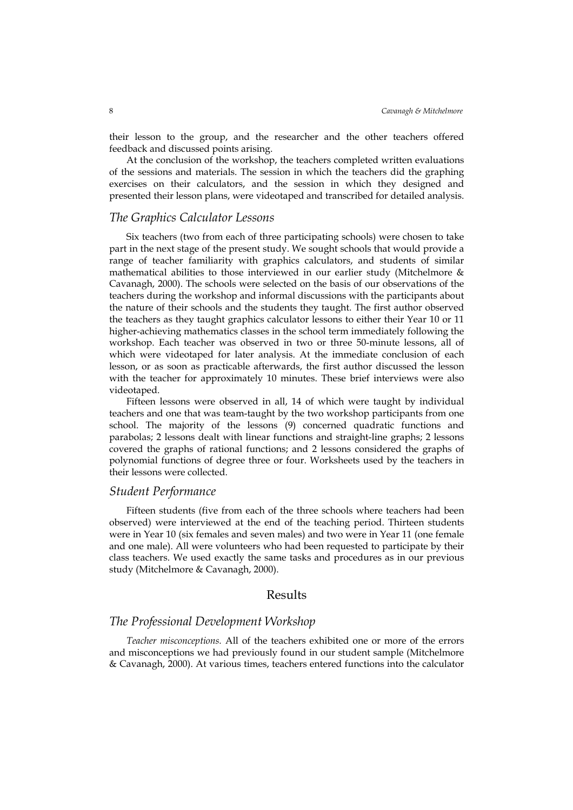their lesson to the group, and the researcher and the other teachers offered feedback and discussed points arising.

At the conclusion of the workshop, the teachers completed written evaluations of the sessions and materials. The session in which the teachers did the graphing exercises on their calculators, and the session in which they designed and presented their lesson plans, were videotaped and transcribed for detailed analysis.

#### The Graphics Calculator Lessons

Six teachers (two from each of three participating schools) were chosen to take part in the next stage of the present study. We sought schools that would provide a range of teacher familiarity with graphics calculators, and students of similar mathematical abilities to those interviewed in our earlier study (Mitchelmore & Cavanagh, 2000). The schools were selected on the basis of our observations of the teachers during the workshop and informal discussions with the participants about the nature of their schools and the students they taught. The first author observed the teachers as they taught graphics calculator lessons to either their Year 10 or 11 higher-achieving mathematics classes in the school term immediately following the workshop. Each teacher was observed in two or three 50-minute lessons, all of which were videotaped for later analysis. At the immediate conclusion of each lesson, or as soon as practicable afterwards, the first author discussed the lesson with the teacher for approximately 10 minutes. These brief interviews were also videotaped.

Fifteen lessons were observed in all, 14 of which were taught by individual teachers and one that was team-taught by the two workshop participants from one school. The majority of the lessons (9) concerned quadratic functions and parabolas; 2 lessons dealt with linear functions and straight-line graphs; 2 lessons covered the graphs of rational functions; and 2 lessons considered the graphs of polynomial functions of degree three or four. Worksheets used by the teachers in their lessons were collected.

#### Student Performance

Fifteen students (five from each of the three schools where teachers had been observed) were interviewed at the end of the teaching period. Thirteen students were in Year 10 (six females and seven males) and two were in Year 11 (one female and one male). All were volunteers who had been requested to participate by their class teachers. We used exactly the same tasks and procedures as in our previous study (Mitchelmore & Cavanagh, 2000).

#### Results

#### The Professional Development Workshop

Teacher misconceptions. All of the teachers exhibited one or more of the errors and misconceptions we had previously found in our student sample (Mitchelmore & Cavanagh, 2000). At various times, teachers entered functions into the calculator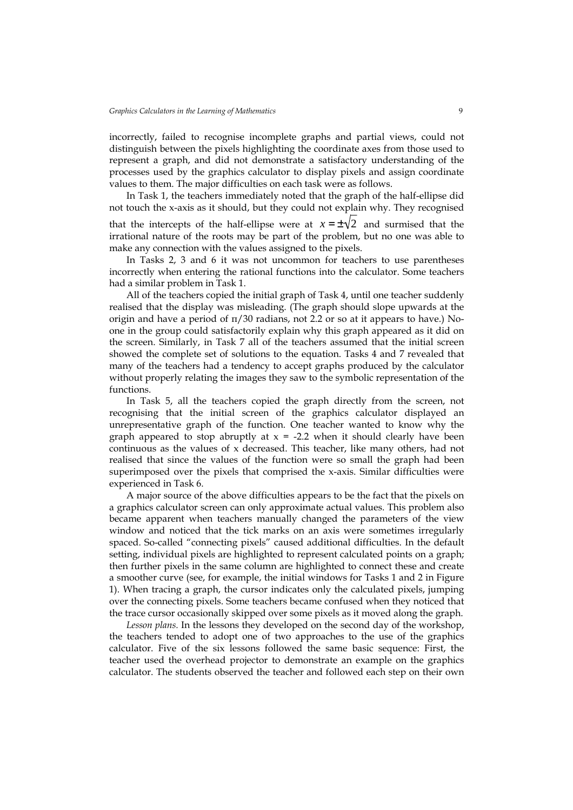incorrectly, failed to recognise incomplete graphs and partial views, could not distinguish between the pixels highlighting the coordinate axes from those used to represent a graph, and did not demonstrate a satisfactory understanding of the processes used by the graphics calculator to display pixels and assign coordinate values to them. The major difficulties on each task were as follows.

In Task 1, the teachers immediately noted that the graph of the half-ellipse did not touch the x-axis as it should, but they could not explain why. They recognised that the intercepts of the half-ellipse were at  $x = \pm \sqrt{2}$  and surmised that the irrational nature of the roots may be part of the problem, but no one was able to make any connection with the values assigned to the pixels.

In Tasks 2, 3 and 6 it was not uncommon for teachers to use parentheses incorrectly when entering the rational functions into the calculator. Some teachers had a similar problem in Task 1.

All of the teachers copied the initial graph of Task 4, until one teacher suddenly realised that the display was misleading. (The graph should slope upwards at the origin and have a period of  $\pi/30$  radians, not 2.2 or so at it appears to have.) Noone in the group could satisfactorily explain why this graph appeared as it did on the screen. Similarly, in Task 7 all of the teachers assumed that the initial screen showed the complete set of solutions to the equation. Tasks 4 and 7 revealed that many of the teachers had a tendency to accept graphs produced by the calculator without properly relating the images they saw to the symbolic representation of the functions.

In Task 5, all the teachers copied the graph directly from the screen, not recognising that the initial screen of the graphics calculator displayed an unrepresentative graph of the function. One teacher wanted to know why the graph appeared to stop abruptly at  $x = -2.2$  when it should clearly have been continuous as the values of x decreased. This teacher, like many others, had not realised that since the values of the function were so small the graph had been superimposed over the pixels that comprised the x-axis. Similar difficulties were experienced in Task 6.

A major source of the above difficulties appears to be the fact that the pixels on a graphics calculator screen can only approximate actual values. This problem also became apparent when teachers manually changed the parameters of the view window and noticed that the tick marks on an axis were sometimes irregularly spaced. So-called "connecting pixels" caused additional difficulties. In the default setting, individual pixels are highlighted to represent calculated points on a graph; then further pixels in the same column are highlighted to connect these and create a smoother curve (see, for example, the initial windows for Tasks 1 and 2 in Figure 1). When tracing a graph, the cursor indicates only the calculated pixels, jumping over the connecting pixels. Some teachers became confused when they noticed that the trace cursor occasionally skipped over some pixels as it moved along the graph.

Lesson plans. In the lessons they developed on the second day of the workshop, the teachers tended to adopt one of two approaches to the use of the graphics calculator. Five of the six lessons followed the same basic sequence: First, the teacher used the overhead projector to demonstrate an example on the graphics calculator. The students observed the teacher and followed each step on their own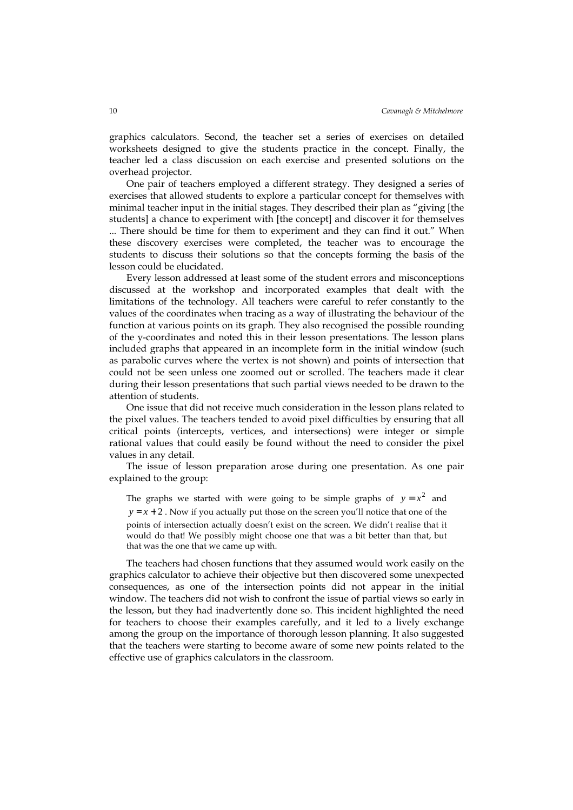graphics calculators. Second, the teacher set a series of exercises on detailed worksheets designed to give the students practice in the concept. Finally, the teacher led a class discussion on each exercise and presented solutions on the overhead projector.

One pair of teachers employed a different strategy. They designed a series of exercises that allowed students to explore a particular concept for themselves with minimal teacher input in the initial stages. They described their plan as "giving [the students] a chance to experiment with [the concept] and discover it for themselves ... There should be time for them to experiment and they can find it out." When these discovery exercises were completed, the teacher was to encourage the students to discuss their solutions so that the concepts forming the basis of the lesson could be elucidated.

Every lesson addressed at least some of the student errors and misconceptions discussed at the workshop and incorporated examples that dealt with the limitations of the technology. All teachers were careful to refer constantly to the values of the coordinates when tracing as a way of illustrating the behaviour of the function at various points on its graph. They also recognised the possible rounding of the y-coordinates and noted this in their lesson presentations. The lesson plans included graphs that appeared in an incomplete form in the initial window (such as parabolic curves where the vertex is not shown) and points of intersection that could not be seen unless one zoomed out or scrolled. The teachers made it clear during their lesson presentations that such partial views needed to be drawn to the attention of students.

One issue that did not receive much consideration in the lesson plans related to the pixel values. The teachers tended to avoid pixel difficulties by ensuring that all critical points (intercepts, vertices, and intersections) were integer or simple rational values that could easily be found without the need to consider the pixel values in any detail.

The issue of lesson preparation arose during one presentation. As one pair explained to the group:

The graphs we started with were going to be simple graphs of  $y = x^2$  and  $y = x + 2$ . Now if you actually put those on the screen you'll notice that one of the points of intersection actually doesn't exist on the screen. We didn't realise that it would do that! We possibly might choose one that was a bit better than that, but that was the one that we came up with.

The teachers had chosen functions that they assumed would work easily on the graphics calculator to achieve their objective but then discovered some unexpected consequences, as one of the intersection points did not appear in the initial window. The teachers did not wish to confront the issue of partial views so early in the lesson, but they had inadvertently done so. This incident highlighted the need for teachers to choose their examples carefully, and it led to a lively exchange among the group on the importance of thorough lesson planning. It also suggested that the teachers were starting to become aware of some new points related to the effective use of graphics calculators in the classroom.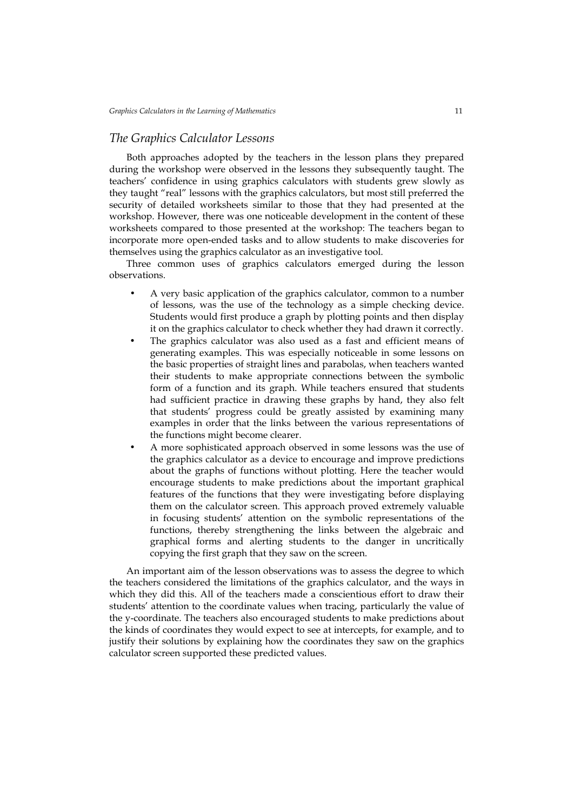#### The Graphics Calculator Lessons

Both approaches adopted by the teachers in the lesson plans they prepared during the workshop were observed in the lessons they subsequently taught. The teachers' confidence in using graphics calculators with students grew slowly as they taught "real" lessons with the graphics calculators, but most still preferred the security of detailed worksheets similar to those that they had presented at the workshop. However, there was one noticeable development in the content of these worksheets compared to those presented at the workshop: The teachers began to incorporate more open-ended tasks and to allow students to make discoveries for themselves using the graphics calculator as an investigative tool.

Three common uses of graphics calculators emerged during the lesson observations.

- A very basic application of the graphics calculator, common to a number of lessons, was the use of the technology as a simple checking device. Students would first produce a graph by plotting points and then display it on the graphics calculator to check whether they had drawn it correctly.
- The graphics calculator was also used as a fast and efficient means of generating examples. This was especially noticeable in some lessons on the basic properties of straight lines and parabolas, when teachers wanted their students to make appropriate connections between the symbolic form of a function and its graph. While teachers ensured that students had sufficient practice in drawing these graphs by hand, they also felt that students' progress could be greatly assisted by examining many examples in order that the links between the various representations of the functions might become clearer.
- A more sophisticated approach observed in some lessons was the use of the graphics calculator as a device to encourage and improve predictions about the graphs of functions without plotting. Here the teacher would encourage students to make predictions about the important graphical features of the functions that they were investigating before displaying them on the calculator screen. This approach proved extremely valuable in focusing students' attention on the symbolic representations of the functions, thereby strengthening the links between the algebraic and graphical forms and alerting students to the danger in uncritically copying the first graph that they saw on the screen.

An important aim of the lesson observations was to assess the degree to which the teachers considered the limitations of the graphics calculator, and the ways in which they did this. All of the teachers made a conscientious effort to draw their students' attention to the coordinate values when tracing, particularly the value of the y-coordinate. The teachers also encouraged students to make predictions about the kinds of coordinates they would expect to see at intercepts, for example, and to justify their solutions by explaining how the coordinates they saw on the graphics calculator screen supported these predicted values.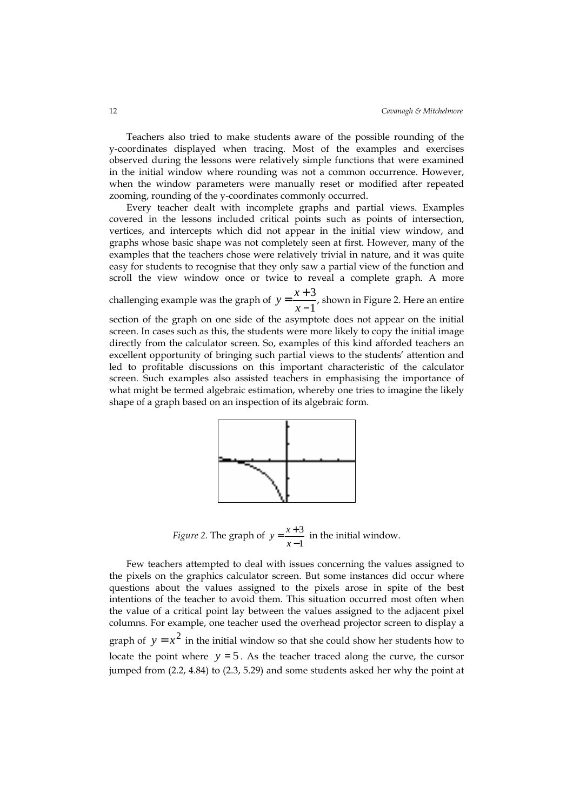Teachers also tried to make students aware of the possible rounding of the y-coordinates displayed when tracing. Most of the examples and exercises observed during the lessons were relatively simple functions that were examined in the initial window where rounding was not a common occurrence. However, when the window parameters were manually reset or modified after repeated zooming, rounding of the y-coordinates commonly occurred.

Every teacher dealt with incomplete graphs and partial views. Examples covered in the lessons included critical points such as points of intersection, vertices, and intercepts which did not appear in the initial view window, and graphs whose basic shape was not completely seen at first. However, many of the examples that the teachers chose were relatively trivial in nature, and it was quite easy for students to recognise that they only saw a partial view of the function and scroll the view window once or twice to reveal a complete graph. A more

challenging example was the graph of  $y = \frac{x+3}{4}$  $\frac{1}{x-1}$ , shown in Figure 2. Here an entire

section of the graph on one side of the asymptote does not appear on the initial screen. In cases such as this, the students were more likely to copy the initial image directly from the calculator screen. So, examples of this kind afforded teachers an excellent opportunity of bringing such partial views to the students' attention and led to profitable discussions on this important characteristic of the calculator screen. Such examples also assisted teachers in emphasising the importance of what might be termed algebraic estimation, whereby one tries to imagine the likely shape of a graph based on an inspection of its algebraic form.



*Figure 2.* The graph of  $y = \frac{x+3}{x-1}$ 3 −  $=\frac{x+}{x-}$  $y = \frac{x+3}{1}$  in the initial window.

Few teachers attempted to deal with issues concerning the values assigned to the pixels on the graphics calculator screen. But some instances did occur where questions about the values assigned to the pixels arose in spite of the best intentions of the teacher to avoid them. This situation occurred most often when the value of a critical point lay between the values assigned to the adjacent pixel columns. For example, one teacher used the overhead projector screen to display a graph of  $y = x^2$  in the initial window so that she could show her students how to locate the point where  $y = 5$ . As the teacher traced along the curve, the cursor jumped from (2.2, 4.84) to (2.3, 5.29) and some students asked her why the point at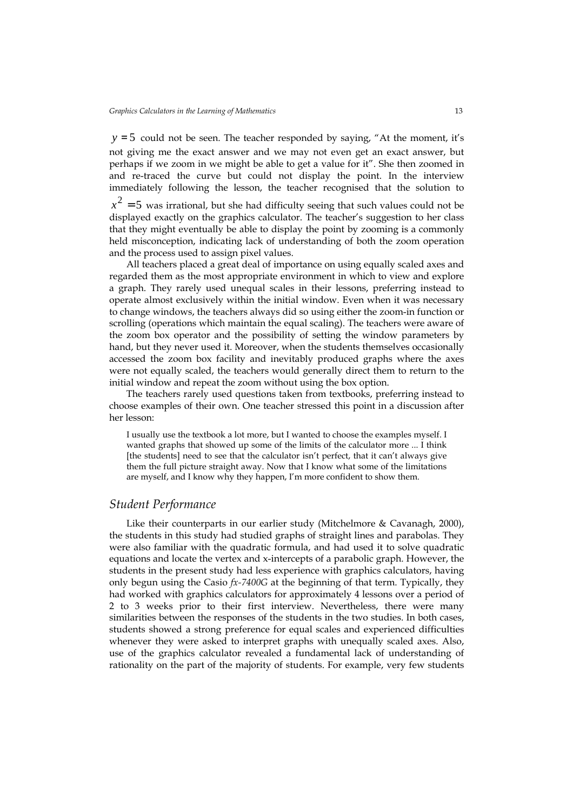$y = 5$  could not be seen. The teacher responded by saying, "At the moment, it's not giving me the exact answer and we may not even get an exact answer, but perhaps if we zoom in we might be able to get a value for it". She then zoomed in and re-traced the curve but could not display the point. In the interview immediately following the lesson, the teacher recognised that the solution to

 $x^2 = 5$  was irrational, but she had difficulty seeing that such values could not be displayed exactly on the graphics calculator. The teacher's suggestion to her class that they might eventually be able to display the point by zooming is a commonly held misconception, indicating lack of understanding of both the zoom operation and the process used to assign pixel values.

All teachers placed a great deal of importance on using equally scaled axes and regarded them as the most appropriate environment in which to view and explore a graph. They rarely used unequal scales in their lessons, preferring instead to operate almost exclusively within the initial window. Even when it was necessary to change windows, the teachers always did so using either the zoom-in function or scrolling (operations which maintain the equal scaling). The teachers were aware of the zoom box operator and the possibility of setting the window parameters by hand, but they never used it. Moreover, when the students themselves occasionally accessed the zoom box facility and inevitably produced graphs where the axes were not equally scaled, the teachers would generally direct them to return to the initial window and repeat the zoom without using the box option.

The teachers rarely used questions taken from textbooks, preferring instead to choose examples of their own. One teacher stressed this point in a discussion after her lesson:

I usually use the textbook a lot more, but I wanted to choose the examples myself. I wanted graphs that showed up some of the limits of the calculator more ... I think [the students] need to see that the calculator isn't perfect, that it can't always give them the full picture straight away. Now that I know what some of the limitations are myself, and I know why they happen, I'm more confident to show them.

#### Student Performance

Like their counterparts in our earlier study (Mitchelmore & Cavanagh, 2000), the students in this study had studied graphs of straight lines and parabolas. They were also familiar with the quadratic formula, and had used it to solve quadratic equations and locate the vertex and x-intercepts of a parabolic graph. However, the students in the present study had less experience with graphics calculators, having only begun using the Casio  $fx-7400G$  at the beginning of that term. Typically, they had worked with graphics calculators for approximately 4 lessons over a period of 2 to 3 weeks prior to their first interview. Nevertheless, there were many similarities between the responses of the students in the two studies. In both cases, students showed a strong preference for equal scales and experienced difficulties whenever they were asked to interpret graphs with unequally scaled axes. Also, use of the graphics calculator revealed a fundamental lack of understanding of rationality on the part of the majority of students. For example, very few students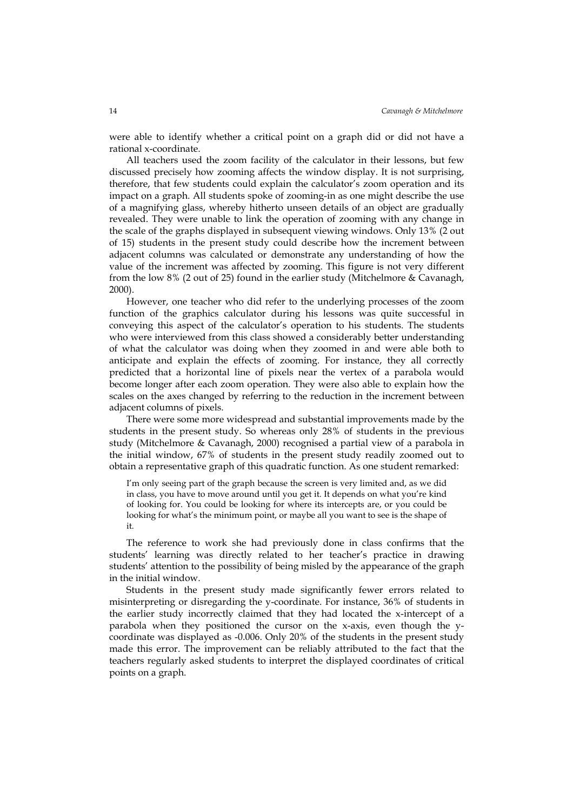were able to identify whether a critical point on a graph did or did not have a rational x-coordinate.

All teachers used the zoom facility of the calculator in their lessons, but few discussed precisely how zooming affects the window display. It is not surprising, therefore, that few students could explain the calculator's zoom operation and its impact on a graph. All students spoke of zooming-in as one might describe the use of a magnifying glass, whereby hitherto unseen details of an object are gradually revealed. They were unable to link the operation of zooming with any change in the scale of the graphs displayed in subsequent viewing windows. Only 13% (2 out of 15) students in the present study could describe how the increment between adjacent columns was calculated or demonstrate any understanding of how the value of the increment was affected by zooming. This figure is not very different from the low 8% (2 out of 25) found in the earlier study (Mitchelmore & Cavanagh, 2000).

However, one teacher who did refer to the underlying processes of the zoom function of the graphics calculator during his lessons was quite successful in conveying this aspect of the calculator's operation to his students. The students who were interviewed from this class showed a considerably better understanding of what the calculator was doing when they zoomed in and were able both to anticipate and explain the effects of zooming. For instance, they all correctly predicted that a horizontal line of pixels near the vertex of a parabola would become longer after each zoom operation. They were also able to explain how the scales on the axes changed by referring to the reduction in the increment between adjacent columns of pixels.

There were some more widespread and substantial improvements made by the students in the present study. So whereas only 28% of students in the previous study (Mitchelmore & Cavanagh, 2000) recognised a partial view of a parabola in the initial window, 67% of students in the present study readily zoomed out to obtain a representative graph of this quadratic function. As one student remarked:

I'm only seeing part of the graph because the screen is very limited and, as we did in class, you have to move around until you get it. It depends on what you're kind of looking for. You could be looking for where its intercepts are, or you could be looking for what's the minimum point, or maybe all you want to see is the shape of it.

The reference to work she had previously done in class confirms that the students' learning was directly related to her teacher's practice in drawing students' attention to the possibility of being misled by the appearance of the graph in the initial window.

Students in the present study made significantly fewer errors related to misinterpreting or disregarding the y-coordinate. For instance, 36% of students in the earlier study incorrectly claimed that they had located the x-intercept of a parabola when they positioned the cursor on the x-axis, even though the ycoordinate was displayed as -0.006. Only 20% of the students in the present study made this error. The improvement can be reliably attributed to the fact that the teachers regularly asked students to interpret the displayed coordinates of critical points on a graph.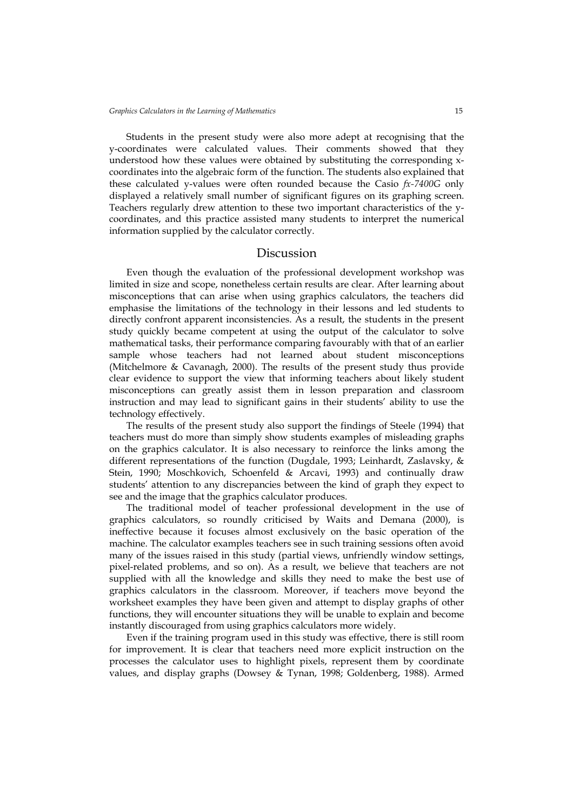Students in the present study were also more adept at recognising that the y-coordinates were calculated values. Their comments showed that they understood how these values were obtained by substituting the corresponding xcoordinates into the algebraic form of the function. The students also explained that these calculated y-values were often rounded because the Casio  $fx-7400G$  only displayed a relatively small number of significant figures on its graphing screen. Teachers regularly drew attention to these two important characteristics of the ycoordinates, and this practice assisted many students to interpret the numerical information supplied by the calculator correctly.

#### Discussion

Even though the evaluation of the professional development workshop was limited in size and scope, nonetheless certain results are clear. After learning about misconceptions that can arise when using graphics calculators, the teachers did emphasise the limitations of the technology in their lessons and led students to directly confront apparent inconsistencies. As a result, the students in the present study quickly became competent at using the output of the calculator to solve mathematical tasks, their performance comparing favourably with that of an earlier sample whose teachers had not learned about student misconceptions (Mitchelmore & Cavanagh, 2000). The results of the present study thus provide clear evidence to support the view that informing teachers about likely student misconceptions can greatly assist them in lesson preparation and classroom instruction and may lead to significant gains in their students' ability to use the technology effectively.

The results of the present study also support the findings of Steele (1994) that teachers must do more than simply show students examples of misleading graphs on the graphics calculator. It is also necessary to reinforce the links among the different representations of the function (Dugdale, 1993; Leinhardt, Zaslavsky, & Stein, 1990; Moschkovich, Schoenfeld & Arcavi, 1993) and continually draw students' attention to any discrepancies between the kind of graph they expect to see and the image that the graphics calculator produces.

The traditional model of teacher professional development in the use of graphics calculators, so roundly criticised by Waits and Demana (2000), is ineffective because it focuses almost exclusively on the basic operation of the machine. The calculator examples teachers see in such training sessions often avoid many of the issues raised in this study (partial views, unfriendly window settings, pixel-related problems, and so on). As a result, we believe that teachers are not supplied with all the knowledge and skills they need to make the best use of graphics calculators in the classroom. Moreover, if teachers move beyond the worksheet examples they have been given and attempt to display graphs of other functions, they will encounter situations they will be unable to explain and become instantly discouraged from using graphics calculators more widely.

Even if the training program used in this study was effective, there is still room for improvement. It is clear that teachers need more explicit instruction on the processes the calculator uses to highlight pixels, represent them by coordinate values, and display graphs (Dowsey & Tynan, 1998; Goldenberg, 1988). Armed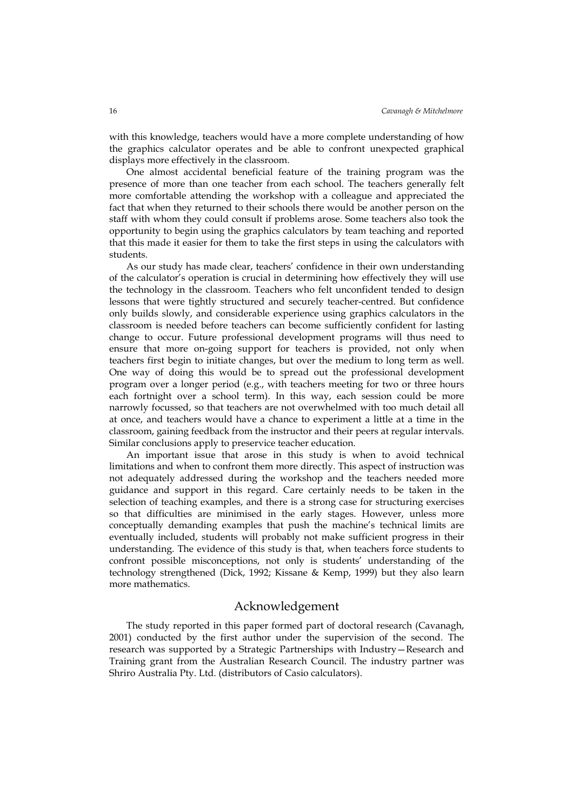with this knowledge, teachers would have a more complete understanding of how the graphics calculator operates and be able to confront unexpected graphical displays more effectively in the classroom.

One almost accidental beneficial feature of the training program was the presence of more than one teacher from each school. The teachers generally felt more comfortable attending the workshop with a colleague and appreciated the fact that when they returned to their schools there would be another person on the staff with whom they could consult if problems arose. Some teachers also took the opportunity to begin using the graphics calculators by team teaching and reported that this made it easier for them to take the first steps in using the calculators with students.

As our study has made clear, teachers' confidence in their own understanding of the calculator's operation is crucial in determining how effectively they will use the technology in the classroom. Teachers who felt unconfident tended to design lessons that were tightly structured and securely teacher-centred. But confidence only builds slowly, and considerable experience using graphics calculators in the classroom is needed before teachers can become sufficiently confident for lasting change to occur. Future professional development programs will thus need to ensure that more on-going support for teachers is provided, not only when teachers first begin to initiate changes, but over the medium to long term as well. One way of doing this would be to spread out the professional development program over a longer period (e.g., with teachers meeting for two or three hours each fortnight over a school term). In this way, each session could be more narrowly focussed, so that teachers are not overwhelmed with too much detail all at once, and teachers would have a chance to experiment a little at a time in the classroom, gaining feedback from the instructor and their peers at regular intervals. Similar conclusions apply to preservice teacher education.

An important issue that arose in this study is when to avoid technical limitations and when to confront them more directly. This aspect of instruction was not adequately addressed during the workshop and the teachers needed more guidance and support in this regard. Care certainly needs to be taken in the selection of teaching examples, and there is a strong case for structuring exercises so that difficulties are minimised in the early stages. However, unless more conceptually demanding examples that push the machine's technical limits are eventually included, students will probably not make sufficient progress in their understanding. The evidence of this study is that, when teachers force students to confront possible misconceptions, not only is students' understanding of the technology strengthened (Dick, 1992; Kissane & Kemp, 1999) but they also learn more mathematics.

#### Acknowledgement

The study reported in this paper formed part of doctoral research (Cavanagh, 2001) conducted by the first author under the supervision of the second. The research was supported by a Strategic Partnerships with Industry—Research and Training grant from the Australian Research Council. The industry partner was Shriro Australia Pty. Ltd. (distributors of Casio calculators).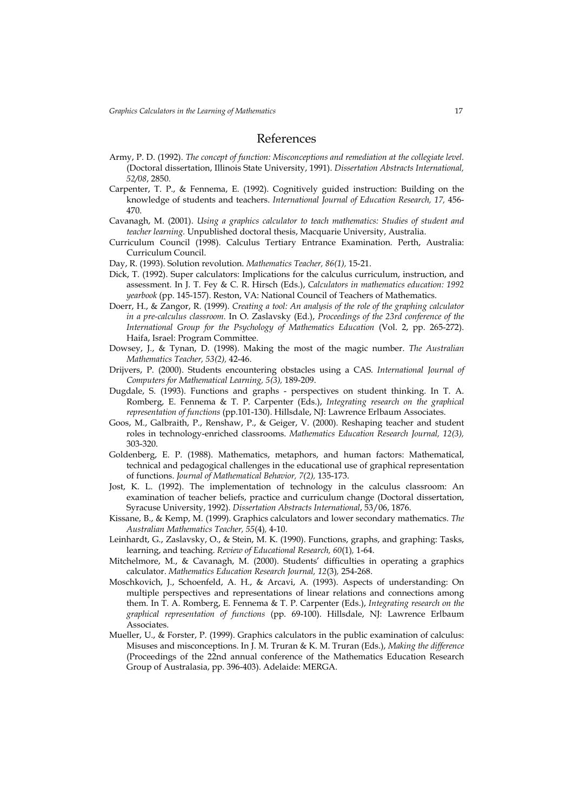#### References

- Army, P. D. (1992). The concept of function: Misconceptions and remediation at the collegiate level. (Doctoral dissertation, Illinois State University, 1991). Dissertation Abstracts International, 52/08, 2850.
- Carpenter, T. P., & Fennema, E. (1992). Cognitively guided instruction: Building on the knowledge of students and teachers. International Journal of Education Research, 17, 456- 470.
- Cavanagh, M. (2001). Using a graphics calculator to teach mathematics: Studies of student and teacher learning. Unpublished doctoral thesis, Macquarie University, Australia.
- Curriculum Council (1998). Calculus Tertiary Entrance Examination. Perth, Australia: Curriculum Council.
- Day, R. (1993). Solution revolution. Mathematics Teacher, 86(1), 15-21.
- Dick, T. (1992). Super calculators: Implications for the calculus curriculum, instruction, and assessment. In J. T. Fey & C. R. Hirsch (Eds.), Calculators in mathematics education: 1992 yearbook (pp. 145-157). Reston, VA: National Council of Teachers of Mathematics.
- Doerr, H., & Zangor, R. (1999). Creating a tool: An analysis of the role of the graphing calculator in a pre-calculus classroom. In O. Zaslavsky (Ed.), Proceedings of the 23rd conference of the International Group for the Psychology of Mathematics Education (Vol. 2, pp. 265-272). Haifa, Israel: Program Committee.
- Dowsey, J., & Tynan, D. (1998). Making the most of the magic number. The Australian Mathematics Teacher, 53(2), 42-46.
- Drijvers, P. (2000). Students encountering obstacles using a CAS. International Journal of Computers for Mathematical Learning, 5(3), 189-209.
- Dugdale, S. (1993). Functions and graphs perspectives on student thinking. In T. A. Romberg, E. Fennema & T. P. Carpenter (Eds.), Integrating research on the graphical representation of functions (pp.101-130). Hillsdale, NJ: Lawrence Erlbaum Associates.
- Goos, M., Galbraith, P., Renshaw, P., & Geiger, V. (2000). Reshaping teacher and student roles in technology-enriched classrooms. Mathematics Education Research Journal, 12(3), 303-320.
- Goldenberg, E. P. (1988). Mathematics, metaphors, and human factors: Mathematical, technical and pedagogical challenges in the educational use of graphical representation of functions. Journal of Mathematical Behavior, 7(2), 135-173.
- Jost, K. L. (1992). The implementation of technology in the calculus classroom: An examination of teacher beliefs, practice and curriculum change (Doctoral dissertation, Syracuse University, 1992). Dissertation Abstracts International, 53/06, 1876.
- Kissane, B., & Kemp, M. (1999). Graphics calculators and lower secondary mathematics. The Australian Mathematics Teacher, 55(4), 4-10.
- Leinhardt, G., Zaslavsky, O., & Stein, M. K. (1990). Functions, graphs, and graphing: Tasks, learning, and teaching. Review of Educational Research, 60(1), 1-64.
- Mitchelmore, M., & Cavanagh, M. (2000). Students' difficulties in operating a graphics calculator. Mathematics Education Research Journal, 12(3), 254-268.
- Moschkovich, J., Schoenfeld, A. H., & Arcavi, A. (1993). Aspects of understanding: On multiple perspectives and representations of linear relations and connections among them. In T. A. Romberg, E. Fennema & T. P. Carpenter (Eds.), Integrating research on the graphical representation of functions (pp. 69-100). Hillsdale, NJ: Lawrence Erlbaum Associates.
- Mueller, U., & Forster, P. (1999). Graphics calculators in the public examination of calculus: Misuses and misconceptions. In J. M. Truran & K. M. Truran (Eds.), Making the difference (Proceedings of the 22nd annual conference of the Mathematics Education Research Group of Australasia, pp. 396-403). Adelaide: MERGA.